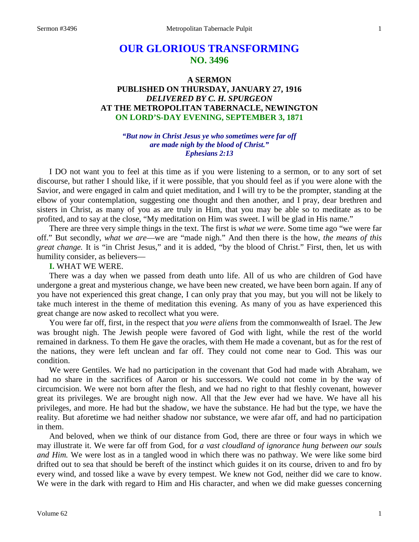# **OUR GLORIOUS TRANSFORMING NO. 3496**

## **A SERMON PUBLISHED ON THURSDAY, JANUARY 27, 1916** *DELIVERED BY C. H. SPURGEON* **AT THE METROPOLITAN TABERNACLE, NEWINGTON ON LORD'S-DAY EVENING, SEPTEMBER 3, 1871**

*"But now in Christ Jesus ye who sometimes were far off are made nigh by the blood of Christ." Ephesians 2:13*

I DO not want you to feel at this time as if you were listening to a sermon, or to any sort of set discourse, but rather I should like, if it were possible, that you should feel as if you were alone with the Savior, and were engaged in calm and quiet meditation, and I will try to be the prompter, standing at the elbow of your contemplation, suggesting one thought and then another, and I pray, dear brethren and sisters in Christ, as many of you as are truly in Him, that you may be able so to meditate as to be profited, and to say at the close, "My meditation on Him was sweet. I will be glad in His name."

There are three very simple things in the text. The first is *what we were*. Some time ago "we were far off." But secondly, *what we are*—we are "made nigh." And then there is the how, *the means of this great change.* It is "in Christ Jesus," and it is added, "by the blood of Christ." First, then, let us with humility consider, as believers—

#### **I.** WHAT WE WERE.

There was a day when we passed from death unto life. All of us who are children of God have undergone a great and mysterious change, we have been new created, we have been born again. If any of you have not experienced this great change, I can only pray that you may, but you will not be likely to take much interest in the theme of meditation this evening. As many of you as have experienced this great change are now asked to recollect what you were.

You were far off, first, in the respect that *you were aliens* from the commonwealth of Israel. The Jew was brought nigh. The Jewish people were favored of God with light, while the rest of the world remained in darkness. To them He gave the oracles, with them He made a covenant, but as for the rest of the nations, they were left unclean and far off. They could not come near to God. This was our condition.

We were Gentiles. We had no participation in the covenant that God had made with Abraham, we had no share in the sacrifices of Aaron or his successors. We could not come in by the way of circumcision. We were not born after the flesh, and we had no right to that fleshly covenant, however great its privileges. We are brought nigh now. All that the Jew ever had we have. We have all his privileges, and more. He had but the shadow, we have the substance. He had but the type, we have the reality. But aforetime we had neither shadow nor substance, we were afar off, and had no participation in them.

And beloved, when we think of our distance from God, there are three or four ways in which we may illustrate it. We were far off from God, for *a vast cloudland of ignorance hung between our souls and Him.* We were lost as in a tangled wood in which there was no pathway. We were like some bird drifted out to sea that should be bereft of the instinct which guides it on its course, driven to and fro by every wind, and tossed like a wave by every tempest. We knew not God, neither did we care to know. We were in the dark with regard to Him and His character, and when we did make guesses concerning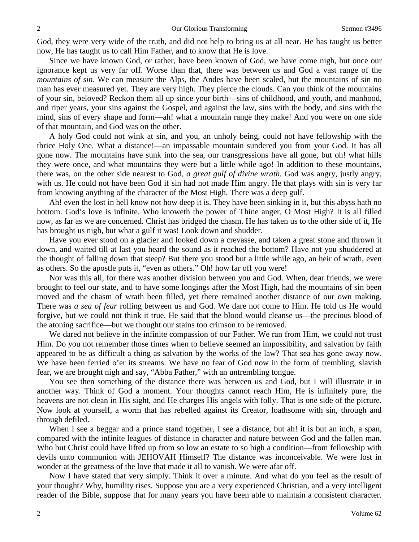God, they were very wide of the truth, and did not help to bring us at all near. He has taught us better now, He has taught us to call Him Father, and to know that He is love.

Since we have known God, or rather, have been known of God, we have come nigh, but once our ignorance kept us very far off. Worse than that, there was between us and God a vast range of the *mountains of sin*. We can measure the Alps, the Andes have been scaled, but the mountains of sin no man has ever measured yet. They are very high. They pierce the clouds. Can you think of the mountains of your sin, beloved? Reckon them all up since your birth—sins of childhood, and youth, and manhood, and riper years, your sins against the Gospel, and against the law, sins with the body, and sins with the mind, sins of every shape and form—ah! what a mountain range they make! And you were on one side of that mountain, and God was on the other.

A holy God could not wink at sin, and you, an unholy being, could not have fellowship with the thrice Holy One. What a distance!—an impassable mountain sundered you from your God. It has all gone now. The mountains have sunk into the sea, our transgressions have all gone, but oh! what hills they were once, and what mountains they were but a little while ago! In addition to these mountains, there was, on the other side nearest to God, *a great gulf of divine wrath.* God was angry, justly angry, with us. He could not have been God if sin had not made Him angry. He that plays with sin is very far from knowing anything of the character of the Most High. There was a deep gulf.

Ah! even the lost in hell know not how deep it is. They have been sinking in it, but this abyss hath no bottom. God's love is infinite. Who knoweth the power of Thine anger, O Most High? It is all filled now, as far as we are concerned. Christ has bridged the chasm. He has taken us to the other side of it, He has brought us nigh, but what a gulf it was! Look down and shudder.

Have you ever stood on a glacier and looked down a crevasse, and taken a great stone and thrown it down, and waited till at last you heard the sound as it reached the bottom? Have not you shuddered at the thought of falling down that steep? But there you stood but a little while ago, an heir of wrath, even as others. So the apostle puts it, "even as others." Oh! how far off you were!

Nor was this all, for there was another division between you and God. When, dear friends, we were brought to feel our state, and to have some longings after the Most High, had the mountains of sin been moved and the chasm of wrath been filled, yet there remained another distance of our own making. There was *a sea of fear* rolling between us and God. We dare not come to Him. He told us He would forgive, but we could not think it true. He said that the blood would cleanse us—the precious blood of the atoning sacrifice—but we thought our stains too crimson to be removed.

We dared not believe in the infinite compassion of our Father. We ran from Him, we could not trust Him. Do you not remember those times when to believe seemed an impossibility, and salvation by faith appeared to be as difficult a thing as salvation by the works of the law? That sea has gone away now. We have been ferried o'er its streams. We have no fear of God now in the form of trembling, slavish fear, we are brought nigh and say, "Abba Father," with an untrembling tongue.

You see then something of the distance there was between us and God, but I will illustrate it in another way. Think of God a moment. Your thoughts cannot reach Him, He is infinitely pure, the heavens are not clean in His sight, and He charges His angels with folly. That is one side of the picture. Now look at yourself, a worm that has rebelled against its Creator, loathsome with sin, through and through defiled.

When I see a beggar and a prince stand together, I see a distance, but ah! it is but an inch, a span, compared with the infinite leagues of distance in character and nature between God and the fallen man. Who but Christ could have lifted up from so low an estate to so high a condition—from fellowship with devils unto communion with JEHOVAH Himself? The distance was inconceivable. We were lost in wonder at the greatness of the love that made it all to vanish. We were afar off.

Now I have stated that very simply. Think it over a minute. And what do you feel as the result of your thought? Why, humility rises. Suppose you are a very experienced Christian, and a very intelligent reader of the Bible, suppose that for many years you have been able to maintain a consistent character.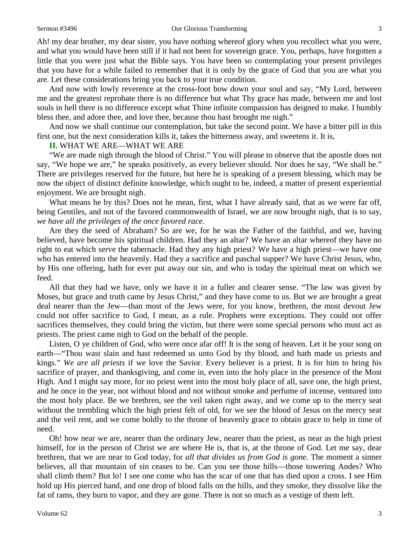#### Sermon #3496 **Our Glorious Transforming 3** 3

Ah! my dear brother, my dear sister, you have nothing whereof glory when you recollect what you were, and what you would have been still if it had not been for sovereign grace. You, perhaps, have forgotten a little that you were just what the Bible says. You have been so contemplating your present privileges that you have for a while failed to remember that it is only by the grace of God that you are what you are. Let these considerations bring you back to your true condition.

And now with lowly reverence at the cross-foot bow down your soul and say, "My Lord, between me and the greatest reprobate there is no difference but what Thy grace has made, between me and lost souls in hell there is no difference except what Thine infinite compassion has deigned to make. I humbly bless thee, and adore thee, and love thee, because thou hast brought me nigh."

And now we shall continue our contemplation, but take the second point. We have a bitter pill in this first one, but the next consideration kills it, takes the bitterness away, and sweetens it. It is,

#### **II.** WHAT WE ARE—WHAT WE ARE

"We are made nigh through the blood of Christ." You will please to observe that the apostle does not say, "We hope we are," he speaks positively, as every believer should. Nor does he say, "We shall be." There are privileges reserved for the future, but here he is speaking of a present blessing, which may be now the object of distinct definite knowledge, which ought to be, indeed, a matter of present experiential enjoyment. We are brought nigh.

What means he by this? Does not he mean, first, what I have already said, that as we were far off, being Gentiles, and not of the favored commonwealth of Israel, we are now brought nigh, that is to say, *we have all the privileges of the once favored race*.

Are they the seed of Abraham? So are we, for he was the Father of the faithful, and we, having believed, have become his spiritual children. Had they an altar? We have an altar whereof they have no right to eat which serve the tabernacle. Had they any high priest? We have a high priest—we have one who has entered into the heavenly. Had they a sacrifice and paschal supper? We have Christ Jesus, who, by His one offering, hath for ever put away our sin, and who is today the spiritual meat on which we feed.

All that they had we have, only we have it in a fuller and clearer sense. "The law was given by Moses, but grace and truth came by Jesus Christ," and they have come to us. But we are brought a great deal nearer than the Jew—than most of the Jews were, for you know, brethren, the most devout Jew could not offer sacrifice to God, I mean, as a rule. Prophets were exceptions. They could not offer sacrifices themselves, they could bring the victim, but there were some special persons who must act as priests. The priest came nigh to God on the behalf of the people.

Listen, O ye children of God, who were once afar off! It is the song of heaven. Let it be your song on earth—"Thou wast slain and hast redeemed us unto God by thy blood, and hath made us priests and kings." *We are all priests* if we love the Savior. Every believer is a priest. It is for him to bring his sacrifice of prayer, and thanksgiving, and come in, even into the holy place in the presence of the Most High. And I might say more, for no priest went into the most holy place of all, save one, the high priest, and he once in the year, not without blood and not without smoke and perfume of incense, ventured into the most holy place. Be we brethren, see the veil taken right away, and we come up to the mercy seat without the trembling which the high priest felt of old, for we see the blood of Jesus on the mercy seat and the veil rent, and we come boldly to the throne of heavenly grace to obtain grace to help in time of need.

Oh! how near we are, nearer than the ordinary Jew, nearer than the priest, as near as the high priest himself, for in the person of Christ we are where He is, that is, at the throne of God. Let me say, dear brethren, that we are near to God today, for *all that divides us from God is gone*. The moment a sinner believes, all that mountain of sin ceases to be. Can you see those hills—those towering Andes? Who shall climb them? But lo! I see one come who has the scar of one that has died upon a cross. I see Him hold up His pierced hand, and one drop of blood falls on the hills, and they smoke, they dissolve like the fat of rams, they burn to vapor, and they are gone. There is not so much as a vestige of them left.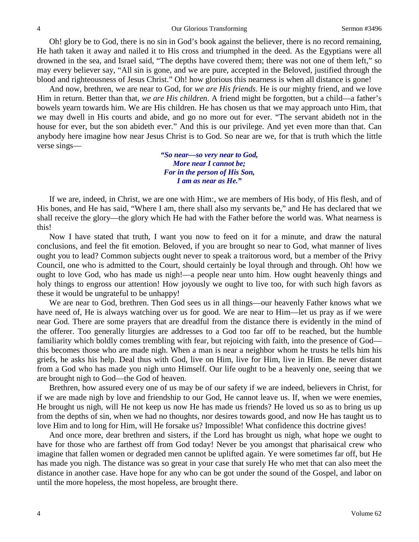Oh! glory be to God, there is no sin in God's book against the believer, there is no record remaining, He hath taken it away and nailed it to His cross and triumphed in the deed. As the Egyptians were all drowned in the sea, and Israel said, "The depths have covered them; there was not one of them left," so may every believer say, "All sin is gone, and we are pure, accepted in the Beloved, justified through the blood and righteousness of Jesus Christ." Oh! how glorious this nearness is when all distance is gone!

And now, brethren, we are near to God, for *we are His friends*. He is our mighty friend, and we love Him in return. Better than that, *we are His children*. A friend might be forgotten, but a child—a father's bowels yearn towards him. We are His children. He has chosen us that we may approach unto Him, that we may dwell in His courts and abide, and go no more out for ever. "The servant abideth not in the house for ever, but the son abideth ever." And this is our privilege. And yet even more than that. Can anybody here imagine how near Jesus Christ is to God. So near are we, for that is truth which the little verse sings—

> *"So near—so very near to God, More near I cannot be; For in the person of His Son, I am as near as He."*

If we are, indeed, in Christ, we are one with Him:, we are members of His body, of His flesh, and of His bones, and He has said, "Where I am, there shall also my servants be," and He has declared that we shall receive the glory—the glory which He had with the Father before the world was. What nearness is this!

Now I have stated that truth, I want you now to feed on it for a minute, and draw the natural conclusions, and feel the fit emotion. Beloved, if you are brought so near to God, what manner of lives ought you to lead? Common subjects ought never to speak a traitorous word, but a member of the Privy Council, one who is admitted to the Court, should certainly be loyal through and through. Oh! how we ought to love God, who has made us nigh!—a people near unto him. How ought heavenly things and holy things to engross our attention! How joyously we ought to live too, for with such high favors as these it would be ungrateful to be unhappy!

We are near to God, brethren. Then God sees us in all things—our heavenly Father knows what we have need of, He is always watching over us for good. We are near to Him—let us pray as if we were near God. There are some prayers that are dreadful from the distance there is evidently in the mind of the offerer. Too generally liturgies are addresses to a God too far off to be reached, but the humble familiarity which boldly comes trembling with fear, but rejoicing with faith, into the presence of God this becomes those who are made nigh. When a man is near a neighbor whom he trusts he tells him his griefs, he asks his help. Deal thus with God, live on Him, live for Him, live in Him. Be never distant from a God who has made you nigh unto Himself. Our life ought to be a heavenly one, seeing that we are brought nigh to God—the God of heaven.

Brethren, how assured every one of us may be of our safety if we are indeed, believers in Christ, for if we are made nigh by love and friendship to our God, He cannot leave us. If, when we were enemies, He brought us nigh, will He not keep us now He has made us friends? He loved us so as to bring us up from the depths of sin, when we had no thoughts, nor desires towards good, and now He has taught us to love Him and to long for Him, will He forsake us? Impossible! What confidence this doctrine gives!

And once more, dear brethren and sisters, if the Lord has brought us nigh, what hope we ought to have for those who are farthest off from God today! Never be you amongst that pharisaical crew who imagine that fallen women or degraded men cannot be uplifted again. Ye were sometimes far off, but He has made you nigh. The distance was so great in your case that surely He who met that can also meet the distance in another case. Have hope for any who can be got under the sound of the Gospel, and labor on until the more hopeless, the most hopeless, are brought there.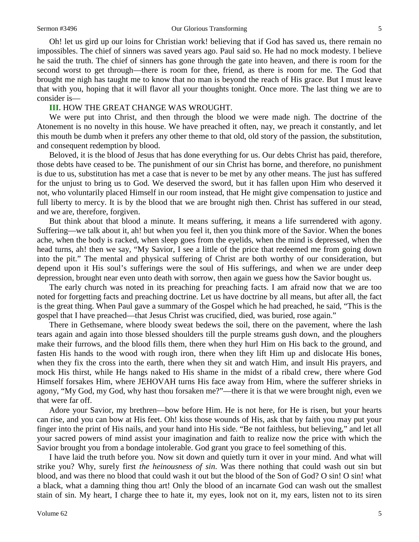Oh! let us gird up our loins for Christian work! believing that if God has saved us, there remain no impossibles. The chief of sinners was saved years ago. Paul said so. He had no mock modesty. I believe he said the truth. The chief of sinners has gone through the gate into heaven, and there is room for the second worst to get through—there is room for thee, friend, as there is room for me. The God that brought me nigh has taught me to know that no man is beyond the reach of His grace. But I must leave that with you, hoping that it will flavor all your thoughts tonight. Once more. The last thing we are to consider is—

#### **III.** HOW THE GREAT CHANGE WAS WROUGHT.

We were put into Christ, and then through the blood we were made nigh. The doctrine of the Atonement is no novelty in this house. We have preached it often, nay, we preach it constantly, and let this mouth be dumb when it prefers any other theme to that old, old story of the passion, the substitution, and consequent redemption by blood.

Beloved, it is the blood of Jesus that has done everything for us. Our debts Christ has paid, therefore, those debts have ceased to be. The punishment of our sin Christ has borne, and therefore, no punishment is due to us, substitution has met a case that is never to be met by any other means. The just has suffered for the unjust to bring us to God. We deserved the sword, but it has fallen upon Him who deserved it not, who voluntarily placed Himself in our room instead, that He might give compensation to justice and full liberty to mercy. It is by the blood that we are brought nigh then. Christ has suffered in our stead, and we are, therefore, forgiven.

But think about that blood a minute. It means suffering, it means a life surrendered with agony. Suffering—we talk about it, ah! but when you feel it, then you think more of the Savior. When the bones ache, when the body is racked, when sleep goes from the eyelids, when the mind is depressed, when the head turns, ah! then we say, "My Savior, I see a little of the price that redeemed me from going down into the pit." The mental and physical suffering of Christ are both worthy of our consideration, but depend upon it His soul's sufferings were the soul of His sufferings, and when we are under deep depression, brought near even unto death with sorrow, then again we guess how the Savior bought us.

The early church was noted in its preaching for preaching facts. I am afraid now that we are too noted for forgetting facts and preaching doctrine. Let us have doctrine by all means, but after all, the fact is the great thing. When Paul gave a summary of the Gospel which he had preached, he said, "This is the gospel that I have preached—that Jesus Christ was crucified, died, was buried, rose again."

There in Gethsemane, where bloody sweat bedews the soil, there on the pavement, where the lash tears again and again into those blessed shoulders till the purple streams gush down, and the ploughers make their furrows, and the blood fills them, there when they hurl Him on His back to the ground, and fasten His hands to the wood with rough iron, there when they lift Him up and dislocate His bones, when they fix the cross into the earth, there when they sit and watch Him, and insult His prayers, and mock His thirst, while He hangs naked to His shame in the midst of a ribald crew, there where God Himself forsakes Him, where JEHOVAH turns His face away from Him, where the sufferer shrieks in agony, "My God, my God, why hast thou forsaken me?"—there it is that we were brought nigh, even we that were far off.

Adore your Savior, my brethren—bow before Him. He is not here, for He is risen, but your hearts can rise, and you can bow at His feet. Oh! kiss those wounds of His, ask that by faith you may put your finger into the print of His nails, and your hand into His side. "Be not faithless, but believing," and let all your sacred powers of mind assist your imagination and faith to realize now the price with which the Savior brought you from a bondage intolerable. God grant you grace to feel something of this.

I have laid the truth before you. Now sit down and quietly turn it over in your mind. And what will strike you? Why, surely first *the heinousness of sin*. Was there nothing that could wash out sin but blood, and was there no blood that could wash it out but the blood of the Son of God? O sin! O sin! what a black, what a damning thing thou art! Only the blood of an incarnate God can wash out the smallest stain of sin. My heart, I charge thee to hate it, my eyes, look not on it, my ears, listen not to its siren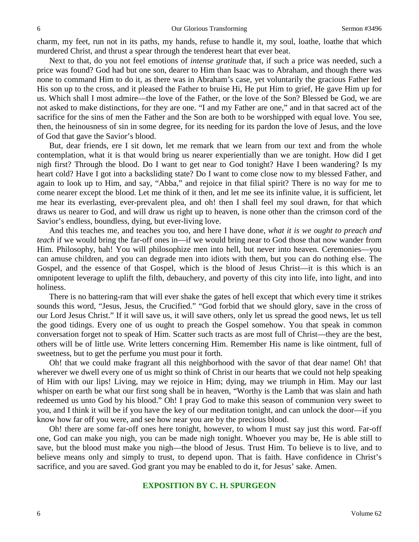charm, my feet, run not in its paths, my hands, refuse to handle it, my soul, loathe, loathe that which murdered Christ, and thrust a spear through the tenderest heart that ever beat.

Next to that, do you not feel emotions of *intense gratitude* that, if such a price was needed, such a price was found? God had but one son, dearer to Him than Isaac was to Abraham, and though there was none to command Him to do it, as there was in Abraham's case, yet voluntarily the gracious Father led His son up to the cross, and it pleased the Father to bruise Hi, He put Him to grief, He gave Him up for us. Which shall I most admire—the love of the Father, or the love of the Son? Blessed be God, we are not asked to make distinctions, for they are one. "I and my Father are one," and in that sacred act of the sacrifice for the sins of men the Father and the Son are both to be worshipped with equal love. You see, then, the heinousness of sin in some degree, for its needing for its pardon the love of Jesus, and the love of God that gave the Savior's blood.

But, dear friends, ere I sit down, let me remark that we learn from our text and from the whole contemplation, what it is that would bring us nearer experientially than we are tonight. How did I get nigh first? Through the blood. Do I want to get near to God tonight? Have I been wandering? Is my heart cold? Have I got into a backsliding state? Do I want to come close now to my blessed Father, and again to look up to Him, and say, "Abba," and rejoice in that filial spirit? There is no way for me to come nearer except the blood. Let me think of it then, and let me see its infinite value, it is sufficient, let me hear its everlasting, ever-prevalent plea, and oh! then I shall feel my soul drawn, for that which draws us nearer to God, and will draw us right up to heaven, is none other than the crimson cord of the Savior's endless, boundless, dying, but ever-living love.

And this teaches me, and teaches you too, and here I have done, *what it is we ought to preach and teach* if we would bring the far-off ones in—if we would bring near to God those that now wander from Him. Philosophy, bah! You will philosophize men into hell, but never into heaven. Ceremonies—you can amuse children, and you can degrade men into idiots with them, but you can do nothing else. The Gospel, and the essence of that Gospel, which is the blood of Jesus Christ—it is this which is an omnipotent leverage to uplift the filth, debauchery, and poverty of this city into life, into light, and into holiness.

There is no battering-ram that will ever shake the gates of hell except that which every time it strikes sounds this word, "Jesus, Jesus, the Crucified." "God forbid that we should glory, save in the cross of our Lord Jesus Christ." If it will save us, it will save others, only let us spread the good news, let us tell the good tidings. Every one of us ought to preach the Gospel somehow. You that speak in common conversation forget not to speak of Him. Scatter such tracts as are most full of Christ—they are the best, others will be of little use. Write letters concerning Him. Remember His name is like ointment, full of sweetness, but to get the perfume you must pour it forth.

Oh! that we could make fragrant all this neighborhood with the savor of that dear name! Oh! that wherever we dwell every one of us might so think of Christ in our hearts that we could not help speaking of Him with our lips! Living, may we rejoice in Him; dying, may we triumph in Him. May our last whisper on earth be what our first song shall be in heaven, "Worthy is the Lamb that was slain and hath redeemed us unto God by his blood." Oh! I pray God to make this season of communion very sweet to you, and I think it will be if you have the key of our meditation tonight, and can unlock the door—if you know how far off you were, and see how near you are by the precious blood.

Oh! there are some far-off ones here tonight, however, to whom I must say just this word. Far-off one, God can make you nigh, you can be made nigh tonight. Whoever you may be, He is able still to save, but the blood must make you nigh—the blood of Jesus. Trust Him. To believe is to live, and to believe means only and simply to trust, to depend upon. That is faith. Have confidence in Christ's sacrifice, and you are saved. God grant you may be enabled to do it, for Jesus' sake. Amen.

### **EXPOSITION BY C. H. SPURGEON**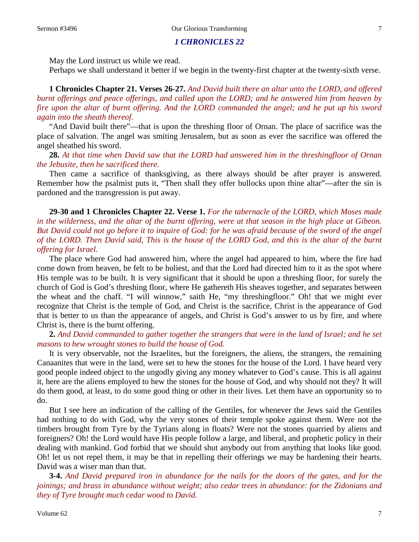#### *1 CHRONICLES 22*

May the Lord instruct us while we read.

Perhaps we shall understand it better if we begin in the twenty-first chapter at the twenty-sixth verse.

**1 Chronicles Chapter 21. Verses 26-27.** *And David built there an altar unto the LORD, and offered burnt offerings and peace offerings, and called upon the LORD; and he answered him from heaven by fire upon the altar of burnt offering. And the LORD commanded the angel; and he put up his sword again into the sheath thereof.*

"And David built there"—that is upon the threshing floor of Ornan. The place of sacrifice was the place of salvation. The angel was smiting Jerusalem, but as soon as ever the sacrifice was offered the angel sheathed his sword.

**28.** *At that time when David saw that the LORD had answered him in the threshingfloor of Ornan the Jebusite, then he sacrificed there.*

Then came a sacrifice of thanksgiving, as there always should be after prayer is answered. Remember how the psalmist puts it, "Then shall they offer bullocks upon thine altar"—after the sin is pardoned and the transgression is put away.

**29-30 and 1 Chronicles Chapter 22. Verse 1.** *For the tabernacle of the LORD, which Moses made in the wilderness, and the altar of the burnt offering, were at that season in the high place at Gibeon. But David could not go before it to inquire of God: for he was afraid because of the sword of the angel of the LORD. Then David said, This is the house of the LORD God, and this is the altar of the burnt offering for Israel.*

The place where God had answered him, where the angel had appeared to him, where the fire had come down from heaven, he felt to be holiest, and that the Lord had directed him to it as the spot where His temple was to be built. It is very significant that it should be upon a threshing floor, for surely the church of God is God's threshing floor, where He gathereth His sheaves together, and separates between the wheat and the chaff. "I will winnow," saith He, "my threshingfloor." Oh! that we might ever recognize that Christ is the temple of God, and Christ is the sacrifice, Christ is the appearance of God that is better to us than the appearance of angels, and Christ is God's answer to us by fire, and where Christ is, there is the burnt offering.

**2.** *And David commanded to gather together the strangers that were in the land of Israel; and he set masons to hew wrought stones to build the house of God.*

It is very observable, not the Israelites, but the foreigners, the aliens, the strangers, the remaining Canaanites that were in the land, were set to hew the stones for the house of the Lord. I have heard very good people indeed object to the ungodly giving any money whatever to God's cause. This is all against it, here are the aliens employed to hew the stones for the house of God, and why should not they? It will do them good, at least, to do some good thing or other in their lives. Let them have an opportunity so to do.

But I see here an indication of the calling of the Gentiles, for whenever the Jews said the Gentiles had nothing to do with God, why the very stones of their temple spoke against them. Were not the timbers brought from Tyre by the Tyrians along in floats? Were not the stones quarried by aliens and foreigners? Oh! the Lord would have His people follow a large, and liberal, and prophetic policy in their dealing with mankind. God forbid that we should shut anybody out from anything that looks like good. Oh! let us not repel them, it may be that in repelling their offerings we may be hardening their hearts. David was a wiser man than that.

**3-4.** *And David prepared iron in abundance for the nails for the doors of the gates, and for the joinings; and brass in abundance without weight; also cedar trees in abundance: for the Zidonians and they of Tyre brought much cedar wood to David.*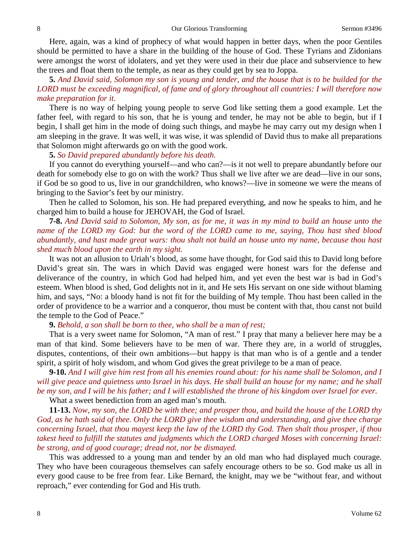Here, again, was a kind of prophecy of what would happen in better days, when the poor Gentiles should be permitted to have a share in the building of the house of God. These Tyrians and Zidonians were amongst the worst of idolaters, and yet they were used in their due place and subservience to hew the trees and float them to the temple, as near as they could get by sea to Joppa.

**5.** *And David said, Solomon my son is young and tender, and the house that is to be builded for the LORD must be exceeding magnifical, of fame and of glory throughout all countries: I will therefore now make preparation for it.*

There is no way of helping young people to serve God like setting them a good example. Let the father feel, with regard to his son, that he is young and tender, he may not be able to begin, but if I begin, I shall get him in the mode of doing such things, and maybe he may carry out my design when I am sleeping in the grave. It was well, it was wise, it was splendid of David thus to make all preparations that Solomon might afterwards go on with the good work.

**5.** *So David prepared abundantly before his death.*

If you cannot do everything yourself—and who can?—is it not well to prepare abundantly before our death for somebody else to go on with the work? Thus shall we live after we are dead—live in our sons, if God be so good to us, live in our grandchildren, who knows?—live in someone we were the means of bringing to the Savior's feet by our ministry.

Then he called to Solomon, his son. He had prepared everything, and now he speaks to him, and he charged him to build a house for JEHOVAH, the God of Israel.

**7-8.** *And David said to Solomon, My son, as for me, it was in my mind to build an house unto the name of the LORD my God: but the word of the LORD came to me, saying, Thou hast shed blood abundantly, and hast made great wars: thou shalt not build an house unto my name, because thou hast shed much blood upon the earth in my sight.*

It was not an allusion to Uriah's blood, as some have thought, for God said this to David long before David's great sin. The wars in which David was engaged were honest wars for the defense and deliverance of the country, in which God had helped him, and yet even the best war is bad in God's esteem. When blood is shed, God delights not in it, and He sets His servant on one side without blaming him, and says, "No: a bloody hand is not fit for the building of My temple. Thou hast been called in the order of providence to be a warrior and a conqueror, thou must be content with that, thou canst not build the temple to the God of Peace."

### **9.** *Behold, a son shall be born to thee, who shall be a man of rest;*

That is a very sweet name for Solomon, "A man of rest." I pray that many a believer here may be a man of that kind. Some believers have to be men of war. There they are, in a world of struggles, disputes, contentions, of their own ambitions—but happy is that man who is of a gentle and a tender spirit, a spirit of holy wisdom, and whom God gives the great privilege to be a man of peace.

**9-10.** *And I will give him rest from all his enemies round about: for his name shall be Solomon, and I will give peace and quietness unto Israel in his days. He shall build an house for my name; and he shall be my son, and I will be his father; and I will established the throne of his kingdom over Israel for ever.*

What a sweet benediction from an aged man's mouth.

**11-13.** *Now, my son, the LORD be with thee; and prosper thou, and build the house of the LORD thy God, as he hath said of thee. Only the LORD give thee wisdom and understanding, and give thee charge concerning Israel, that thou mayest keep the law of the LORD thy God. Then shalt thou prosper, if thou takest heed to fulfill the statutes and judgments which the LORD charged Moses with concerning Israel: be strong, and of good courage; dread not, nor be dismayed.*

This was addressed to a young man and tender by an old man who had displayed much courage. They who have been courageous themselves can safely encourage others to be so. God make us all in every good cause to be free from fear. Like Bernard, the knight, may we be "without fear, and without reproach," ever contending for God and His truth.